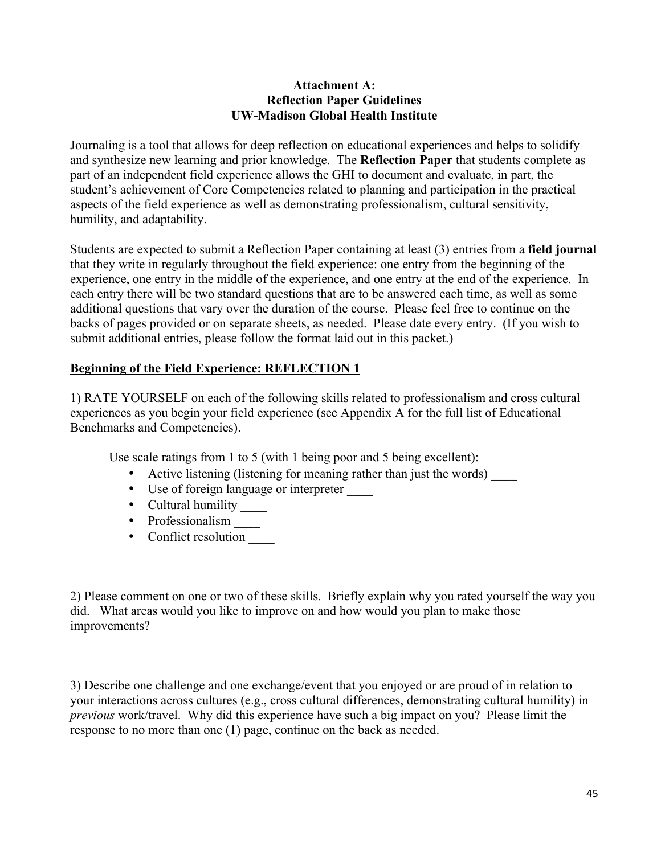### **Attachment A: Reflection Paper Guidelines UW-Madison Global Health Institute**

Journaling is a tool that allows for deep reflection on educational experiences and helps to solidify and synthesize new learning and prior knowledge. The **Reflection Paper** that students complete as part of an independent field experience allows the GHI to document and evaluate, in part, the student's achievement of Core Competencies related to planning and participation in the practical aspects of the field experience as well as demonstrating professionalism, cultural sensitivity, humility, and adaptability.

Students are expected to submit a Reflection Paper containing at least (3) entries from a **field journal** that they write in regularly throughout the field experience: one entry from the beginning of the experience, one entry in the middle of the experience, and one entry at the end of the experience. In each entry there will be two standard questions that are to be answered each time, as well as some additional questions that vary over the duration of the course. Please feel free to continue on the backs of pages provided or on separate sheets, as needed. Please date every entry. (If you wish to submit additional entries, please follow the format laid out in this packet.)

# **Beginning of the Field Experience: REFLECTION 1**

1) RATE YOURSELF on each of the following skills related to professionalism and cross cultural experiences as you begin your field experience (see Appendix A for the full list of Educational Benchmarks and Competencies).

Use scale ratings from 1 to 5 (with 1 being poor and 5 being excellent):

- Active listening (listening for meaning rather than just the words) \_\_\_\_\_
- Use of foreign language or interpreter \_\_\_\_
- Cultural humility \_\_\_\_\_\_
- Professionalism \_\_\_\_\_
- Conflict resolution

2) Please comment on one or two of these skills. Briefly explain why you rated yourself the way you did. What areas would you like to improve on and how would you plan to make those improvements?

3) Describe one challenge and one exchange/event that you enjoyed or are proud of in relation to your interactions across cultures (e.g., cross cultural differences, demonstrating cultural humility) in *previous* work/travel. Why did this experience have such a big impact on you? Please limit the response to no more than one (1) page, continue on the back as needed.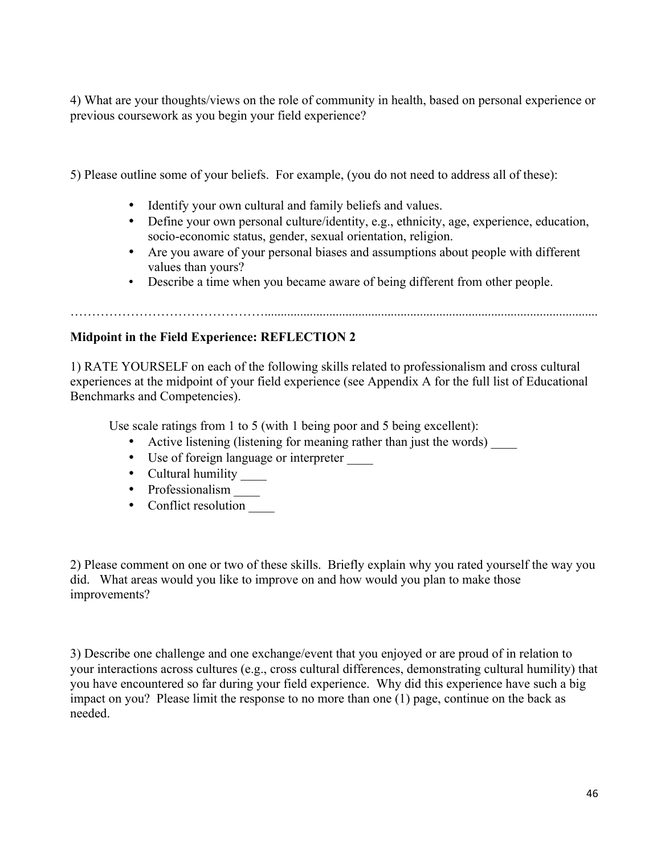4) What are your thoughts/views on the role of community in health, based on personal experience or previous coursework as you begin your field experience?

5) Please outline some of your beliefs. For example, (you do not need to address all of these):

- Identify your own cultural and family beliefs and values.
- Define your own personal culture/identity, e.g., ethnicity, age, experience, education, socio-economic status, gender, sexual orientation, religion.
- Are you aware of your personal biases and assumptions about people with different values than yours?
- Describe a time when you became aware of being different from other people.

# **Midpoint in the Field Experience: REFLECTION 2**

1) RATE YOURSELF on each of the following skills related to professionalism and cross cultural experiences at the midpoint of your field experience (see Appendix A for the full list of Educational Benchmarks and Competencies).

Use scale ratings from 1 to 5 (with 1 being poor and 5 being excellent):

- Active listening (listening for meaning rather than just the words)
- Use of foreign language or interpreter \_\_\_\_
- Cultural humility \_\_\_\_\_\_
- Professionalism \_\_\_\_\_
- Conflict resolution

2) Please comment on one or two of these skills. Briefly explain why you rated yourself the way you did. What areas would you like to improve on and how would you plan to make those improvements?

3) Describe one challenge and one exchange/event that you enjoyed or are proud of in relation to your interactions across cultures (e.g., cross cultural differences, demonstrating cultural humility) that you have encountered so far during your field experience. Why did this experience have such a big impact on you? Please limit the response to no more than one (1) page, continue on the back as needed.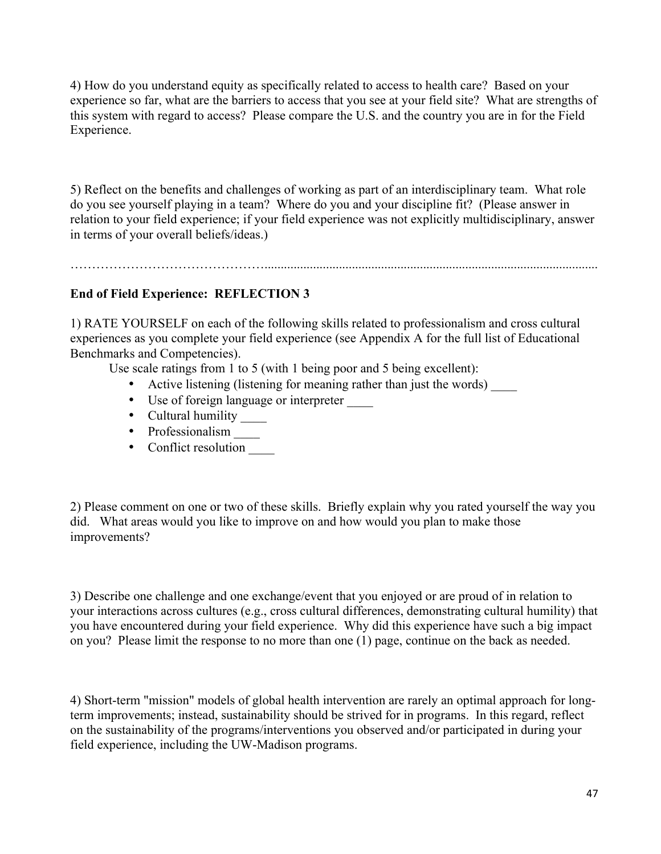4) How do you understand equity as specifically related to access to health care? Based on your experience so far, what are the barriers to access that you see at your field site? What are strengths of this system with regard to access? Please compare the U.S. and the country you are in for the Field Experience.

5) Reflect on the benefits and challenges of working as part of an interdisciplinary team. What role do you see yourself playing in a team? Where do you and your discipline fit? (Please answer in relation to your field experience; if your field experience was not explicitly multidisciplinary, answer in terms of your overall beliefs/ideas.)

……………………………………….......................................................................................................

## **End of Field Experience: REFLECTION 3**

1) RATE YOURSELF on each of the following skills related to professionalism and cross cultural experiences as you complete your field experience (see Appendix A for the full list of Educational Benchmarks and Competencies).

Use scale ratings from 1 to 5 (with 1 being poor and 5 being excellent):

- Active listening (listening for meaning rather than just the words) \_\_\_\_
- Use of foreign language or interpreter \_\_\_\_
- Cultural humility \_\_\_\_\_\_
- Professionalism \_\_\_\_\_
- Conflict resolution

2) Please comment on one or two of these skills. Briefly explain why you rated yourself the way you did. What areas would you like to improve on and how would you plan to make those improvements?

3) Describe one challenge and one exchange/event that you enjoyed or are proud of in relation to your interactions across cultures (e.g., cross cultural differences, demonstrating cultural humility) that you have encountered during your field experience. Why did this experience have such a big impact on you? Please limit the response to no more than one (1) page, continue on the back as needed.

4) Short-term "mission" models of global health intervention are rarely an optimal approach for longterm improvements; instead, sustainability should be strived for in programs. In this regard, reflect on the sustainability of the programs/interventions you observed and/or participated in during your field experience, including the UW-Madison programs.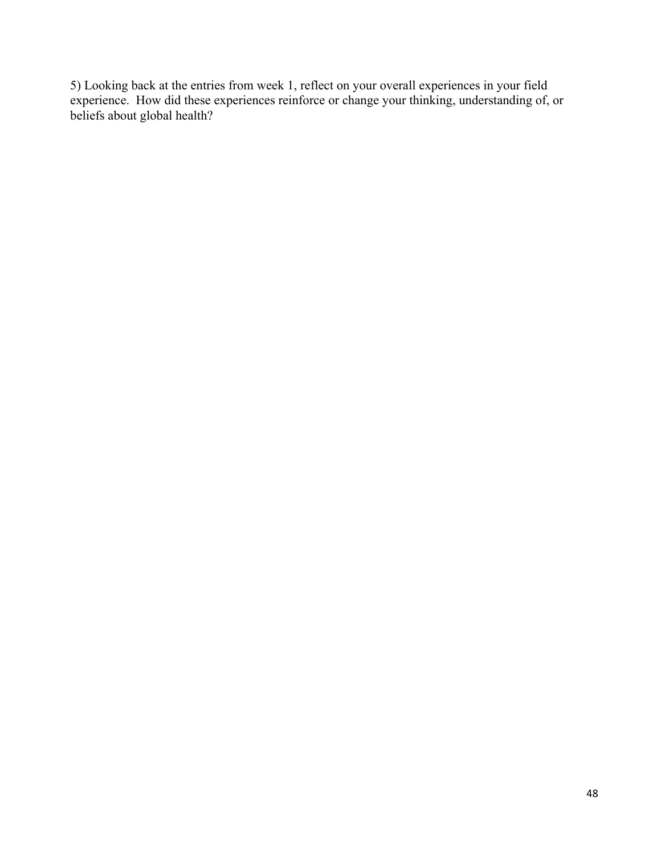5) Looking back at the entries from week 1, reflect on your overall experiences in your field experience. How did these experiences reinforce or change your thinking, understanding of, or beliefs about global health?